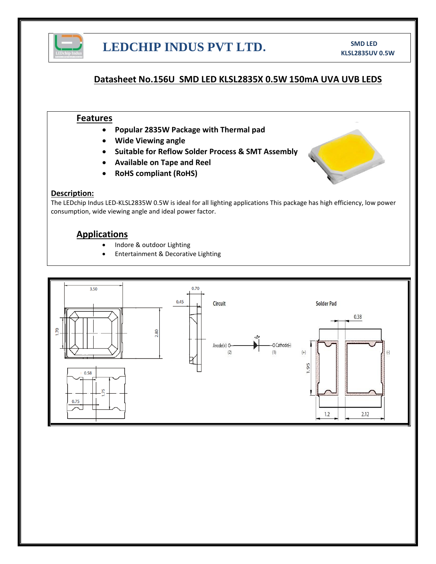

**6V**

## **Datasheet No.156U SMD LED KLSL2835X 0.5W 150mA UVA UVB LEDS**

#### **Features**

- **Popular 2835W Package with Thermal pad**
- **Wide Viewing angle**
- **Suitable for Reflow Solder Process & SMT Assembly**
- **Available on Tape and Reel**
- **RoHS compliant (RoHS)**

#### **Description:**

The LEDchip Indus LED-KLSL2835W 0.5W is ideal for all lighting applications This package has high efficiency, low power consumption, wide viewing angle and ideal power factor.

### **Applications**

- Indore & outdoor Lighting
- Entertainment & Decorative Lighting

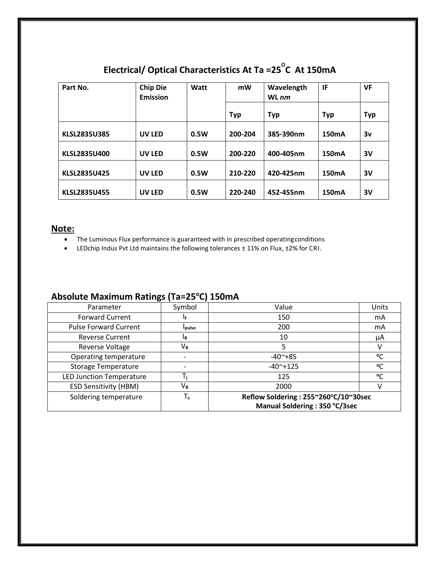| Part No.     | <b>Chip Die</b><br><b>Emission</b> | Watt | mW         | Wavelength<br>WL nm | IF                 | <b>VF</b>  |
|--------------|------------------------------------|------|------------|---------------------|--------------------|------------|
|              |                                    |      | <b>Typ</b> | <b>Typ</b>          | <b>Typ</b>         | <b>Typ</b> |
| KLSL2835U385 | UV LED                             | 0.5W | 200-204    | 385-390nm           | 150 <sub>m</sub> A | 3v         |
| KLSL2835U400 | UV LED                             | 0.5W | 200-220    | 400-405nm           | 150 <sub>m</sub> A | 3V         |
| KLSL2835U425 | UV LED                             | 0.5W | 210-220    | 420-425nm           | 150 <sub>m</sub> A | 3V         |
| KLSL2835U455 | UV LED                             | 0.5W | 220-240    | 452-455nm           | 150 <sub>m</sub> A | 3V         |

# **Electrical/ Optical Characteristics At Ta =25<sup>O</sup> C At 150mA**

## **Note:**

- The Luminous Flux performance is guaranteed with in prescribed operatingconditions
- LEDchip Indus Pvt Ltd maintains the following tolerances ± 11% on Flux, ±2% for CRI.

# **Absolute Maximum Ratings (Ta=25<sup>o</sup>C) 150mA**

|                                 | . .                     |                                                                       |       |
|---------------------------------|-------------------------|-----------------------------------------------------------------------|-------|
| Parameter                       | Symbol                  | Value                                                                 | Units |
| <b>Forward Current</b>          | IF                      | 150                                                                   | mA    |
| <b>Pulse Forward Current</b>    | <b>Ipulse</b>           | 200                                                                   | mA    |
| <b>Reverse Current</b>          | 1R                      | 10                                                                    | μA    |
| Reverse Voltage                 | $\mathsf{V}_\mathsf{R}$ | 5                                                                     |       |
| Operating temperature           |                         | $-40$ $+85$                                                           | °C    |
| <b>Storage Temperature</b>      |                         | $-40^{\sim}+125$                                                      | °C    |
| <b>LED Junction Temperature</b> |                         | 125                                                                   | °C    |
| <b>ESD Sensitivity (HBM)</b>    | $V_B$                   | 2000                                                                  | V     |
| Soldering temperature           | $T_s$                   | Reflow Soldering: 255~260°C/10~30sec<br>Manual Soldering: 350 °C/3sec |       |